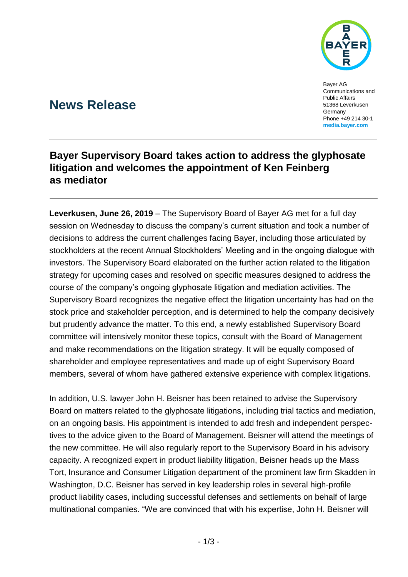

Bayer AG Communications and Public Affairs 51368 Leverkusen **Germany** Phone +49 214 30-1 **media.bayer.com**

# **News Release**

## **Bayer Supervisory Board takes action to address the glyphosate litigation and welcomes the appointment of Ken Feinberg as mediator**

**Leverkusen, June 26, 2019** – The Supervisory Board of Bayer AG met for a full day session on Wednesday to discuss the company's current situation and took a number of decisions to address the current challenges facing Bayer, including those articulated by stockholders at the recent Annual Stockholders' Meeting and in the ongoing dialogue with investors. The Supervisory Board elaborated on the further action related to the litigation strategy for upcoming cases and resolved on specific measures designed to address the course of the company's ongoing glyphosate litigation and mediation activities. The Supervisory Board recognizes the negative effect the litigation uncertainty has had on the stock price and stakeholder perception, and is determined to help the company decisively but prudently advance the matter. To this end, a newly established Supervisory Board committee will intensively monitor these topics, consult with the Board of Management and make recommendations on the litigation strategy. It will be equally composed of shareholder and employee representatives and made up of eight Supervisory Board members, several of whom have gathered extensive experience with complex litigations.

In addition, U.S. lawyer John H. Beisner has been retained to advise the Supervisory Board on matters related to the glyphosate litigations, including trial tactics and mediation, on an ongoing basis. His appointment is intended to add fresh and independent perspectives to the advice given to the Board of Management. Beisner will attend the meetings of the new committee. He will also regularly report to the Supervisory Board in his advisory capacity. A recognized expert in product liability litigation, Beisner heads up the Mass Tort, Insurance and Consumer Litigation department of the prominent law firm Skadden in Washington, D.C. Beisner has served in key leadership roles in several high-profile product liability cases, including successful defenses and settlements on behalf of large multinational companies. "We are convinced that with his expertise, John H. Beisner will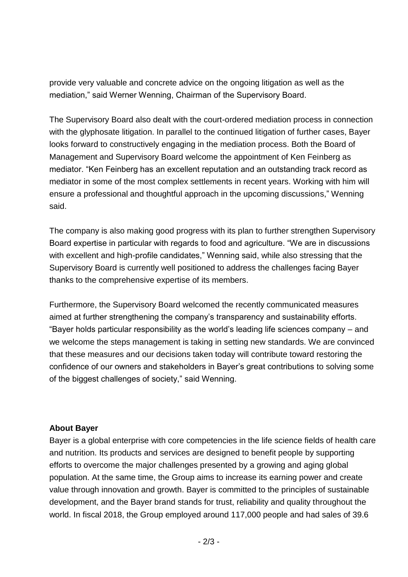provide very valuable and concrete advice on the ongoing litigation as well as the mediation," said Werner Wenning, Chairman of the Supervisory Board.

The Supervisory Board also dealt with the court-ordered mediation process in connection with the glyphosate litigation. In parallel to the continued litigation of further cases, Bayer looks forward to constructively engaging in the mediation process. Both the Board of Management and Supervisory Board welcome the appointment of Ken Feinberg as mediator. "Ken Feinberg has an excellent reputation and an outstanding track record as mediator in some of the most complex settlements in recent years. Working with him will ensure a professional and thoughtful approach in the upcoming discussions," Wenning said.

The company is also making good progress with its plan to further strengthen Supervisory Board expertise in particular with regards to food and agriculture. "We are in discussions with excellent and high-profile candidates," Wenning said, while also stressing that the Supervisory Board is currently well positioned to address the challenges facing Bayer thanks to the comprehensive expertise of its members.

Furthermore, the Supervisory Board welcomed the recently communicated measures aimed at further strengthening the company's transparency and sustainability efforts. "Bayer holds particular responsibility as the world's leading life sciences company – and we welcome the steps management is taking in setting new standards. We are convinced that these measures and our decisions taken today will contribute toward restoring the confidence of our owners and stakeholders in Bayer's great contributions to solving some of the biggest challenges of society," said Wenning.

### **About Bayer**

Bayer is a global enterprise with core competencies in the life science fields of health care and nutrition. Its products and services are designed to benefit people by supporting efforts to overcome the major challenges presented by a growing and aging global population. At the same time, the Group aims to increase its earning power and create value through innovation and growth. Bayer is committed to the principles of sustainable development, and the Bayer brand stands for trust, reliability and quality throughout the world. In fiscal 2018, the Group employed around 117,000 people and had sales of 39.6